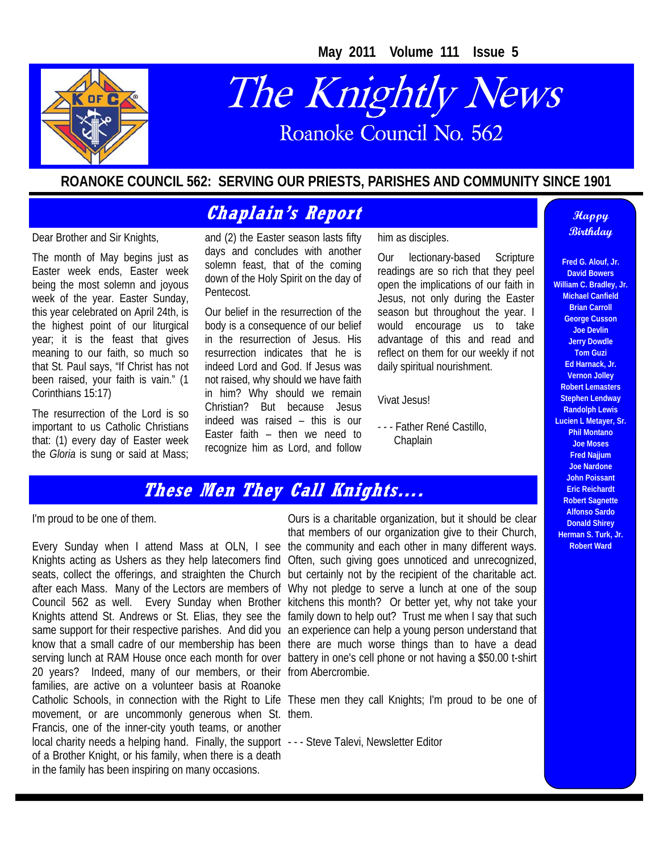**May 2011 Volume 111 Issue 5** 



# The Knightly News Roanoke Council No. 562

#### **ROANOKE COUNCIL 562: SERVING OUR PRIESTS, PARISHES AND COMMUNITY SINCE 1901**

#### **Chaplain's Report Chaplain's Report**

Dear Brother and Sir Knights,

The month of May begins just as Easter week ends, Easter week being the most solemn and joyous week of the year. Easter Sunday, this year celebrated on April 24th, is the highest point of our liturgical year; it is the feast that gives meaning to our faith, so much so that St. Paul says, "If Christ has not been raised, your faith is vain." (1 Corinthians 15:17)

The resurrection of the Lord is so important to us Catholic Christians that: (1) every day of Easter week the *Gloria* is sung or said at Mass; and (2) the Easter season lasts fifty days and concludes with another solemn feast, that of the coming down of the Holy Spirit on the day of Pentecost.

Our belief in the resurrection of the body is a consequence of our belief in the resurrection of Jesus. His resurrection indicates that he is indeed Lord and God. If Jesus was not raised, why should we have faith in him? Why should we remain Christian? But because Jesus indeed was raised – this is our Easter faith – then we need to recognize him as Lord, and follow him as disciples.

Our lectionary-based Scripture readings are so rich that they peel open the implications of our faith in Jesus, not only during the Easter season but throughout the year. I would encourage us to take advantage of this and read and reflect on them for our weekly if not daily spiritual nourishment.

Vivat Jesus!

- - - Father René Castillo, **Chaplain** 

# **Birthday**

**Fred G. Alouf, Jr. David Bowers William C. Bradley, Jr. Michael Canfield Brian Carroll George Cusson Joe Devlin Jerry Dowdle Tom Guzi Ed Harnack, Jr. Vernon Jolley Robert Lemasters Stephen Lendway Randolph Lewis Lucien L Metayer, Sr. Phil Montano Joe Moses Fred Najjum Joe Nardone John Poissant Eric Reichardt Robert Sagnette Alfonso Sardo Donald Shirey Herman S. Turk, Jr. Robert Ward** 

#### **These Men They Call Knights….**

I'm proud to be one of them.

Every Sunday when I attend Mass at OLN, I see the community and each other in many different ways. 20 years? Indeed, many of our members, or their from Abercrombie. families, are active on a volunteer basis at Roanoke movement, or are uncommonly generous when St. them. Francis, one of the inner-city youth teams, or another local charity needs a helping hand. Finally, the support --- Steve Talevi, Newsletter Editor of a Brother Knight, or his family, when there is a death in the family has been inspiring on many occasions.

Ours is a charitable organization, but it should be clear that members of our organization give to their Church,

Knights acting as Ushers as they help latecomers find Often, such giving goes unnoticed and unrecognized, seats, collect the offerings, and straighten the Church but certainly not by the recipient of the charitable act. after each Mass. Many of the Lectors are members of Why not pledge to serve a lunch at one of the soup Council 562 as well. Every Sunday when Brother kitchens this month? Or better yet, why not take your Knights attend St. Andrews or St. Elias, they see the family down to help out? Trust me when I say that such same support for their respective parishes. And did you an experience can help a young person understand that know that a small cadre of our membership has been there are much worse things than to have a dead serving lunch at RAM House once each month for over battery in one's cell phone or not having a \$50.00 t-shirt

Catholic Schools, in connection with the Right to Life These men they call Knights; I'm proud to be one of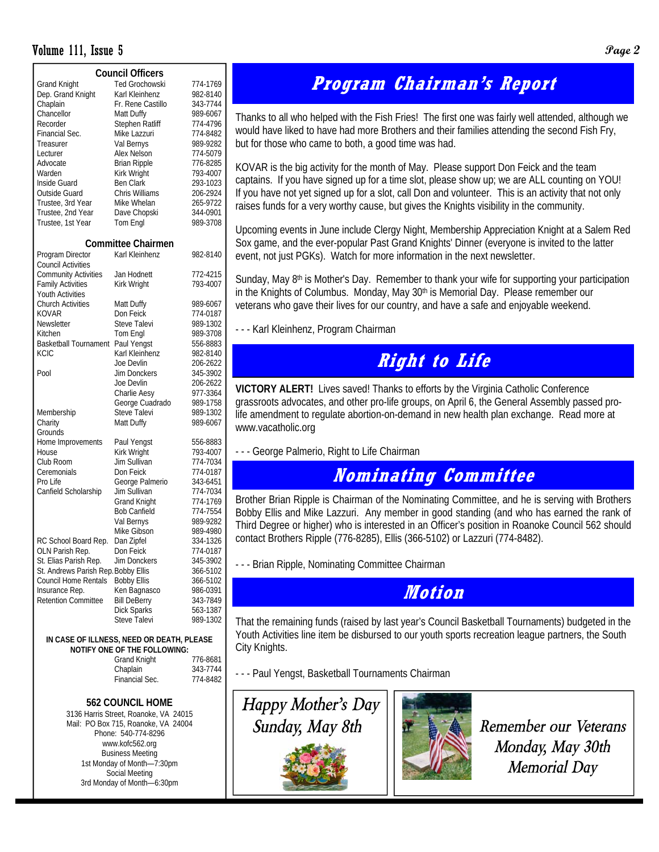#### Volume 111, Issue 5 **Page 2**

| <b>Council Officers</b>             |                                         |          |  |  |  |  |  |
|-------------------------------------|-----------------------------------------|----------|--|--|--|--|--|
| <b>Grand Knight</b>                 | <b>Ted Grochowski</b>                   | 774-1769 |  |  |  |  |  |
| Dep. Grand Knight                   | Karl Kleinhenz                          | 982-8140 |  |  |  |  |  |
| Chaplain                            | Fr. Rene Castillo                       | 343-7744 |  |  |  |  |  |
| Chancellor                          | Matt Duffy                              | 989-6067 |  |  |  |  |  |
| Recorder                            | Stephen Ratliff                         | 774-4796 |  |  |  |  |  |
| Financial Sec.                      | Mike Lazzuri                            | 774-8482 |  |  |  |  |  |
| Treasurer                           | Val Bernys                              | 989-9282 |  |  |  |  |  |
| Lecturer                            | Alex Nelson                             | 774-5079 |  |  |  |  |  |
| Advocate                            | <b>Brian Ripple</b>                     | 776-8285 |  |  |  |  |  |
| Warden                              | Kirk Wright                             | 793-4007 |  |  |  |  |  |
| Inside Guard                        | <b>Ben Clark</b>                        | 293-1023 |  |  |  |  |  |
| Outside Guard                       | Chris Williams                          | 206-2924 |  |  |  |  |  |
| Trustee, 3rd Year                   | Mike Whelan                             | 265-9722 |  |  |  |  |  |
| Trustee, 2nd Year                   | Dave Chopski                            | 344-0901 |  |  |  |  |  |
|                                     |                                         | 989-3708 |  |  |  |  |  |
| Trustee, 1st Year                   | Tom Engl                                |          |  |  |  |  |  |
|                                     | <b>Committee Chairmen</b>               |          |  |  |  |  |  |
| Program Director                    | Karl Kleinhenz                          | 982-8140 |  |  |  |  |  |
| Council Activities                  |                                         |          |  |  |  |  |  |
| <b>Community Activities</b>         | Jan Hodnett                             | 772-4215 |  |  |  |  |  |
| <b>Family Activities</b>            | Kirk Wright                             | 793-4007 |  |  |  |  |  |
| Youth Activities                    |                                         |          |  |  |  |  |  |
| <b>Church Activities</b>            | Matt Duffy                              | 989-6067 |  |  |  |  |  |
| KOVAR                               | Don Feick                               | 774-0187 |  |  |  |  |  |
| Newsletter                          | Steve Talevi                            | 989-1302 |  |  |  |  |  |
| Kitchen                             | Tom Engl                                | 989-3708 |  |  |  |  |  |
| <b>Basketball Tournament</b>        | Paul Yengst                             | 556-8883 |  |  |  |  |  |
| KCIC                                | Karl Kleinhenz                          | 982-8140 |  |  |  |  |  |
|                                     | Joe Devlin                              | 206-2622 |  |  |  |  |  |
| Pool                                | Jim Donckers                            | 345-3902 |  |  |  |  |  |
|                                     | Joe Devlin                              | 206-2622 |  |  |  |  |  |
|                                     | Charlie Aesy                            | 977-3364 |  |  |  |  |  |
|                                     | George Cuadrado                         | 989-1758 |  |  |  |  |  |
| Membership                          | Steve Talevi                            | 989-1302 |  |  |  |  |  |
| Charity                             | Matt Duffy                              | 989-6067 |  |  |  |  |  |
| Grounds                             |                                         |          |  |  |  |  |  |
|                                     |                                         |          |  |  |  |  |  |
| Home Improvements                   | Paul Yengst                             | 556-8883 |  |  |  |  |  |
| House                               | Kirk Wright                             | 793-4007 |  |  |  |  |  |
| Club Room                           | Jim Sullivan                            | 774-7034 |  |  |  |  |  |
| Ceremonials                         | Don Feick                               | 774-0187 |  |  |  |  |  |
| Pro Life                            | George Palmerio                         | 343-6451 |  |  |  |  |  |
| Canfield Scholarship                | Jim Sullivan                            | 774-7034 |  |  |  |  |  |
|                                     | <b>Grand Knight</b>                     | 774-1769 |  |  |  |  |  |
|                                     | <b>Bob Canfield</b>                     | 774-7554 |  |  |  |  |  |
|                                     | Val Bernys                              | 989-9282 |  |  |  |  |  |
|                                     | Mike Gibson                             | 989-4980 |  |  |  |  |  |
| RC School Board Rep.                | Dan Zipfel                              | 334-1326 |  |  |  |  |  |
| OLN Parish Rep.                     | Don Feick                               | 774-0187 |  |  |  |  |  |
| St. Elias Parish Rep.               | Jim Donckers                            | 345-3902 |  |  |  |  |  |
| St. Andrews Parish Rep. Bobby Ellis |                                         | 366-5102 |  |  |  |  |  |
| <b>Council Home Rentals</b>         | <b>Bobby Ellis</b>                      | 366-5102 |  |  |  |  |  |
| Insurance Rep.                      | Ken Bagnasco                            | 986-0391 |  |  |  |  |  |
| <b>Retention Committee</b>          | <b>Bill DeBerry</b>                     | 343-7849 |  |  |  |  |  |
|                                     | Dick Sparks                             | 563-1387 |  |  |  |  |  |
|                                     | <b>Steve Talevi</b>                     | 989-1302 |  |  |  |  |  |
|                                     | IN CASE OF ILLNESS NEED OP DEATH DLEASE |          |  |  |  |  |  |

#### **IDEATH, PLEASE NOTIFY ONE OF THE FOLLOWING:**

| <b>Grand Knight</b> | 776-8681 |  |
|---------------------|----------|--|
| Chaplain            | 343-7744 |  |
| Financial Sec.      | 774-8482 |  |
|                     |          |  |

#### **562 COUNCIL HOME**  3136 Harris Street, Roanoke, VA 24015 Mail: PO Box 715, Roanoke, VA 24004 Phone: 540-774-8296 www.kofc562.org Business Meeting 1st Monday of Month—7:30pm Social Meeting 3rd Monday of Month—6:30pm

## **Program Chairman's Report**

Thanks to all who helped with the Fish Fries! The first one was fairly well attended, although we would have liked to have had more Brothers and their families attending the second Fish Fry, but for those who came to both, a good time was had.

KOVAR is the big activity for the month of May. Please support Don Feick and the team captains. If you have signed up for a time slot, please show up; we are ALL counting on YOU! If you have not yet signed up for a slot, call Don and volunteer. This is an activity that not only raises funds for a very worthy cause, but gives the Knights visibility in the community.

Upcoming events in June include Clergy Night, Membership Appreciation Knight at a Salem Red Sox game, and the ever-popular Past Grand Knights' Dinner (everyone is invited to the latter event, not just PGKs). Watch for more information in the next newsletter.

Sunday, May 8<sup>th</sup> is Mother's Day. Remember to thank your wife for supporting your participation in the Knights of Columbus. Monday, May  $30<sup>th</sup>$  is Memorial Day. Please remember our veterans who gave their lives for our country, and have a safe and enjoyable weekend.

- - - Karl Kleinhenz, Program Chairman

## **Right to Life**

**VICTORY ALERT!** Lives saved! Thanks to efforts by the Virginia Catholic Conference grassroots advocates, and other pro-life groups, on April 6, the General Assembly passed prolife amendment to regulate abortion-on-demand in new health plan exchange. Read more at www.vacatholic.org

- - - George Palmerio, Right to Life Chairman

## **Nominating Committee**

Brother Brian Ripple is Chairman of the Nominating Committee, and he is serving with Brothers Bobby Ellis and Mike Lazzuri. Any member in good standing (and who has earned the rank of Third Degree or higher) who is interested in an Officer's position in Roanoke Council 562 should contact Brothers Ripple (776-8285), Ellis (366-5102) or Lazzuri (774-8482).

- - - Brian Ripple, Nominating Committee Chairman

### **Motion**

That the remaining funds (raised by last year's Council Basketball Tournaments) budgeted in the Youth Activities line item be disbursed to our youth sports recreation league partners, the South City Knights.

- - - Paul Yengst, Basketball Tournaments Chairman



*Monday, May 30th Memorial Day*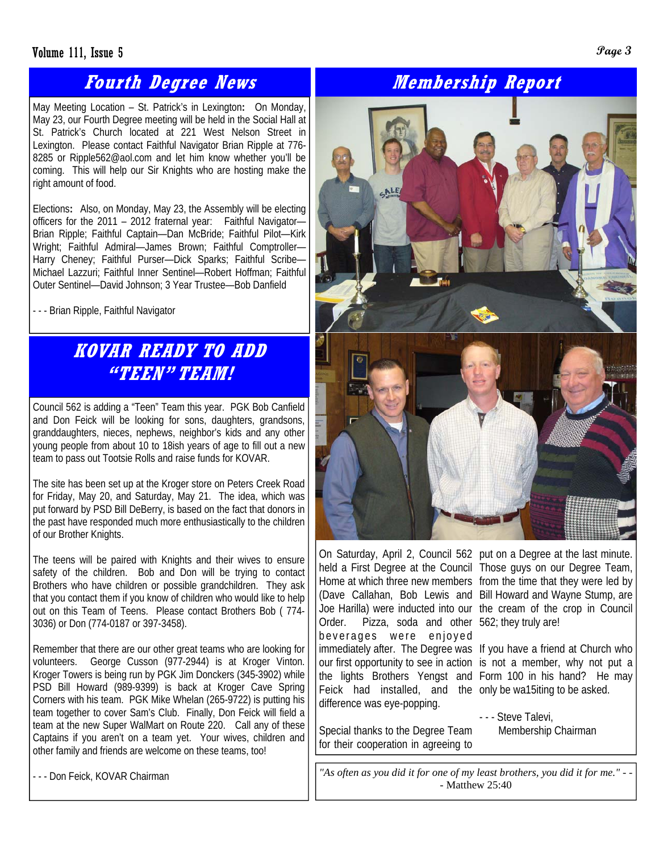#### Volume 111, Issue 5 **Page 3**

### **Fourth Degree News**

May Meeting Location – St. Patrick's in Lexington**:** On Monday, May 23, our Fourth Degree meeting will be held in the Social Hall at St. Patrick's Church located at 221 West Nelson Street in Lexington. Please contact Faithful Navigator Brian Ripple at 776- 8285 or Ripple562@aol.com and let him know whether you'll be coming. This will help our Sir Knights who are hosting make the right amount of food.

Elections**:** Also, on Monday, May 23, the Assembly will be electing officers for the 2011 – 2012 fraternal year: Faithful Navigator— Brian Ripple; Faithful Captain—Dan McBride; Faithful Pilot—Kirk Wright; Faithful Admiral—James Brown; Faithful Comptroller— Harry Cheney; Faithful Purser—Dick Sparks; Faithful Scribe— Michael Lazzuri; Faithful Inner Sentinel—Robert Hoffman; Faithful Outer Sentinel—David Johnson; 3 Year Trustee—Bob Danfield

- - - Brian Ripple, Faithful Navigator

## **KOVAR READY TO ADD "TEEN" TEAM!**

Council 562 is adding a "Teen" Team this year. PGK Bob Canfield and Don Feick will be looking for sons, daughters, grandsons, granddaughters, nieces, nephews, neighbor's kids and any other young people from about 10 to 18ish years of age to fill out a new team to pass out Tootsie Rolls and raise funds for KOVAR.

The site has been set up at the Kroger store on Peters Creek Road for Friday, May 20, and Saturday, May 21. The idea, which was put forward by PSD Bill DeBerry, is based on the fact that donors in the past have responded much more enthusiastically to the children of our Brother Knights.

The teens will be paired with Knights and their wives to ensure safety of the children. Bob and Don will be trying to contact Brothers who have children or possible grandchildren. They ask that you contact them if you know of children who would like to help out on this Team of Teens. Please contact Brothers Bob ( 774- 3036) or Don (774-0187 or 397-3458).

Remember that there are our other great teams who are looking for volunteers. George Cusson (977-2944) is at Kroger Vinton. Kroger Towers is being run by PGK Jim Donckers (345-3902) while PSD Bill Howard (989-9399) is back at Kroger Cave Spring Corners with his team. PGK Mike Whelan (265-9722) is putting his team together to cover Sam's Club. Finally, Don Feick will field a team at the new Super WalMart on Route 220. Call any of these Captains if you aren't on a team yet. Your wives, children and other family and friends are welcome on these teams, too!

## **Membership Report**



Order. Pizza, soda and other 562; they truly are! beverages were enjoyed Feick had installed, and the only be wa15iting to be asked. difference was eye-popping.

Special thanks to the Degree Team for their cooperation in agreeing to

On Saturday, April 2, Council 562 put on a Degree at the last minute. held a First Degree at the Council Those guys on our Degree Team, Home at which three new members from the time that they were led by (Dave Callahan, Bob Lewis and Bill Howard and Wayne Stump, are Joe Harilla) were inducted into our the cream of the crop in Council

immediately after. The Degree was If you have a friend at Church who our first opportunity to see in action is not a member, why not put a the lights Brothers Yengst and Form 100 in his hand? He may

> - - - Steve Talevi, Membership Chairman

- - - Don Feick, KOVAR Chairman **1998 1998 1998 12** *Ms often as you did it for one of my least brothers, you did it for me." - -*- Matthew 25:40